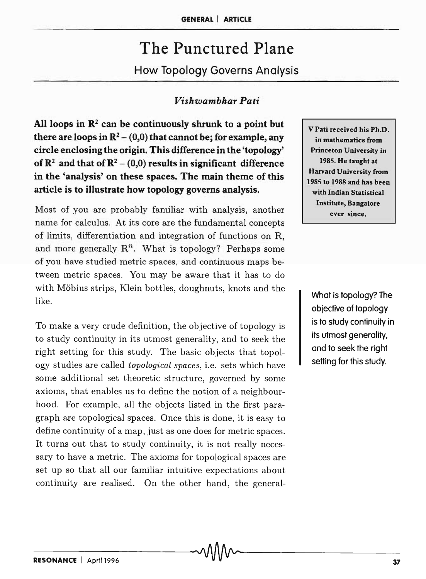# The Punctured Plane How Topology Governs Analysis

# *Vishwambhar Pati*

All loops in  $\mathbb{R}^2$  can be continuously shrunk to a point but there are loops in  $\mathbb{R}^2$  – (0,0) that cannot be; for example, any circle enclosing the origin. This difference in the 'topology' of  $\mathbb{R}^2$  and that of  $\mathbb{R}^2$  – (0,0) results in significant difference in the 'analysis' on these spaces. The main theme of this article is to illustrate how topology governs analysis.

Most of you are probably familiar with analysis, another name for calculus. At its core are the fundamental concepts of limits, differentiation and integration of functions on R, and more generally  $\mathbb{R}^n$ . What is topology? Perhaps some of you have studied metric spaces, and continuous maps between metric spaces. You may be aware that it has to do with Möbius strips, Klein bottles, doughnuts, knots and the like.

To make a very crude definition, the objective of topology is to study continuity in its utmost generality, and to seek the right setting for this study. The basic objects that topology studies are called *topological spaces,* i.e. sets which have some additional set theoretic structure, governed by some axioms, that enables us to define the notion of a neighbourhood. For example, all the objects listed in the first paragraph are topological spaces. Once this is done, it is easy to define continuity of a map, just as one does for metric spaces. It turns out that to study continuity, it is not really necessary to have a metric. The axioms for topological spaces are set up so that all our familiar intuitive expectations about continuity are realised. On the other hand, the general-

V Pati received his Ph.D. in mathematics from Princeton University in 1985. He taught at Harvard University from 1985 to 1988 and has been with Indian Statistical Institute, Bangalore ever since.

What is topology? The objective of topology is to study continuity in its utmost generality, and to seek the right setting for this study.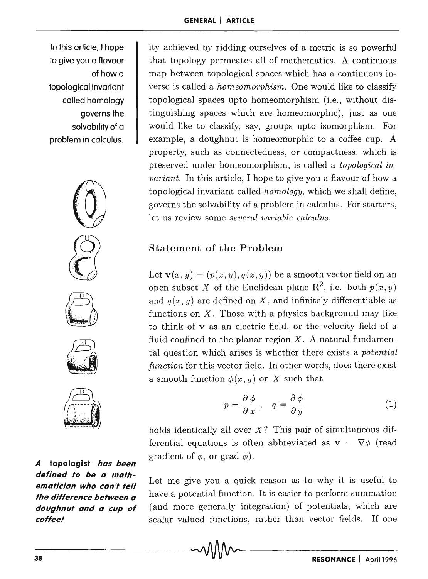In this article, I hope to give you a flavour of how a topological invariant called homology governs the solvability of a problem in calculus.









**A topologist has been defined to be a mathematician who can't tell the difference between a doughnut and a cup of coffee!** 

ity achieved by ridding ourselves of a metric is so powerful that topology permeates all of mathematics. A continuous map between topological spaces which has a continuous inverse is called a *homeomorphism*. One would like to classify topological spaces upto homeomorphism (i.e., without distinguishing spaces which are homeomorphic), just as one would like to classify, say, groups upto isomorphism. For example, a doughnut is homeomorphic to a coffee cup. A property, such as connectedness, or compactness, which is preserved under homeomorphism, is called a *topological invariant.* In this article, I hope to give you a flavour of how a topological invariant called *homology,* which we shall define, governs the solvability of a problem in calculus. For starters, let us review some *several variable calculus.* 

## Statement of the Problem

Let  $\mathbf{v}(x, y) = (p(x, y), q(x, y))$  be a smooth vector field on an open subset X of the Euclidean plane  $\mathbb{R}^2$ , i.e. both  $p(x, y)$ and  $q(x, y)$  are defined on X, and infinitely differentiable as functions on  $X$ . Those with a physics background may like to think of v as an electric field, or the velocity field of a fluid confined to the planar region  $X$ . A natural fundamental question which arises is whether there exists a *potential function* for this vector field. In other words, does there exist a smooth function  $\phi(x, y)$  on X such that

$$
p = \frac{\partial \phi}{\partial x}, \quad q = \frac{\partial \phi}{\partial y}
$$
 (1)

holds identically all over  $X$ ? This pair of simultaneous differential equations is often abbreviated as  $\mathbf{v} = \nabla \phi$  (read gradient of  $\phi$ , or grad  $\phi$ ).

Let me give you a quick reason as to why it is useful to have a potential function. It is easier to perform summation (and more generally integration) of potentials, which are scalar valued functions, rather than vector fields. If one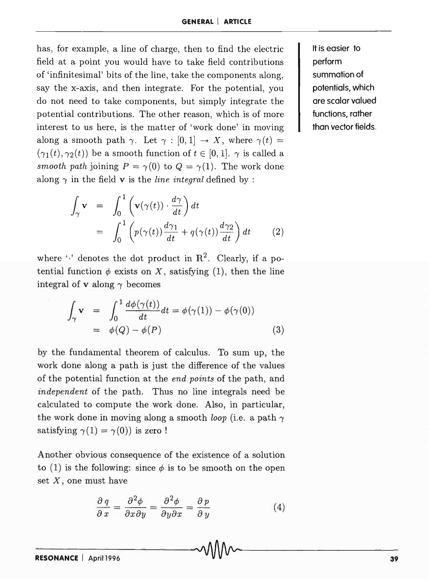has, for example, a line of charge, then to find the electric field at a point you would have to take field contributions of 'infinitesimal' bits of the line, take the components along, say the x-axis, and then integrate. For the potential, you do not need to take components, but simply integrate the potential contributions. The other reason, which is of more interest to us here, is the matter of 'work done' in moving along a smooth path  $\gamma$ . Let  $\gamma : [0,1] \rightarrow X$ , where  $\gamma(t) =$  $(\gamma_1(t), \gamma_2(t))$  be a smooth function of  $t \in [0,1]$ .  $\gamma$  is called a *smooth path* joining  $P = \gamma(0)$  to  $Q = \gamma(1)$ . The work done along  $\gamma$  in the field **v** is the *line integral* defined by :

$$
\int_{\gamma} \mathbf{v} = \int_{0}^{1} \left( \mathbf{v}(\gamma(t)) \cdot \frac{d\gamma}{dt} \right) dt
$$

$$
= \int_{0}^{1} \left( p(\gamma(t)) \frac{d\gamma_1}{dt} + q(\gamma(t)) \frac{d\gamma_2}{dt} \right) dt \qquad (2)
$$

where  $\cdot$  denotes the dot product in  $\mathbb{R}^2$ . Clearly, if a potential function  $\phi$  exists on X, satisfying (1), then the line integral of **v** along  $\gamma$  becomes

$$
\int_{\gamma} \mathbf{v} = \int_0^1 \frac{d\phi(\gamma(t))}{dt} dt = \phi(\gamma(1)) - \phi(\gamma(0))
$$
\n
$$
= \phi(Q) - \phi(P) \tag{3}
$$

by the fundamental theorem of calculus. To sum up, the work done along a path is just the difference of the values of the potential function at the *end points* of the path, and *independent* of the path. Thus no line integrals need be calculated to compute the work done. Also, in particular, the work done in moving along a smooth *loop* (i.e. a path  $\gamma$ ) satisfying  $\gamma(1) = \gamma(0)$  is zero!

Another obvious consequence of the existence of a solution to (1) is the following: since  $\phi$  is to be smooth on the open set  $X$ , one must have

$$
\frac{\partial q}{\partial x} = \frac{\partial^2 \phi}{\partial x \partial y} = \frac{\partial^2 \phi}{\partial y \partial x} = \frac{\partial p}{\partial y}
$$
(4)

It is easier to perform summation of potentials, which are scalar valued functions, rather than vector fields.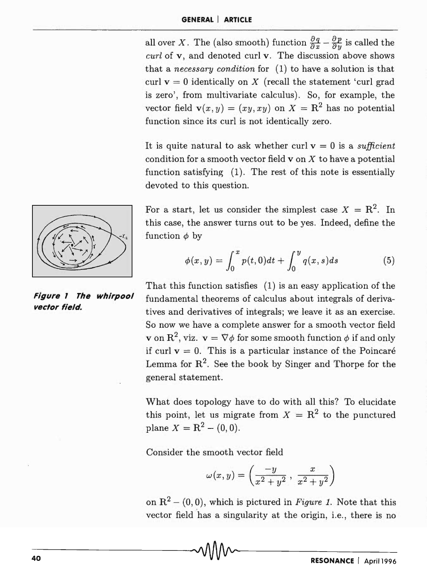all over *X*. The (also smooth) function  $\frac{\partial q}{\partial x} - \frac{\partial p}{\partial y}$  is called the *curl* of v, and denoted curl v. The discussion above shows that a *necessary condition* for (1) to have a solution is that curl  $v = 0$  identically on X (recall the statement 'curl grad is zero', from multivariate calculus). So, for example, the vector field  $\mathbf{v}(x, y) = (xy, xy)$  on  $X = \mathbb{R}^2$  has no potential function since its curl is not identically zero.

It is quite natural to ask whether curl  $v = 0$  is a *sufficient* condition for a smooth vector field  $v$  on  $X$  to have a potential function satisfying (1). The rest of this note is essentially devoted to this question.

For a start, let us consider the simplest case  $X = \mathbb{R}^2$ . In this case, the answer turns out to be yes. Indeed, define the function  $\phi$  by

$$
\phi(x,y) = \int_0^x p(t,0)dt + \int_0^y q(x,s)ds \tag{5}
$$

That this function satisfies (1) is an easy application of the fundamental theorems of calculus about integrals of derivatives and derivatives of integrals; we leave it as an exercise. So now we have a complete answer for a smooth vector field **v** on  $\mathbb{R}^2$ , viz.  $\mathbf{v} = \nabla \phi$  for some smooth function  $\phi$  if and only if curl  $v = 0$ . This is a particular instance of the Poincaré Lemma for  $\mathbb{R}^2$ . See the book by Singer and Thorpe for the general statement.

What does topology have to do with all this? To elucidate this point, let us migrate from  $X = \mathbb{R}^2$  to the punctured plane  $X = R^2 - (0,0)$ .

Consider the smooth vector field

$$
\omega(x,y) = \left(\frac{-y}{x^2 + y^2}, \frac{x}{x^2 + y^2}\right)
$$

on  $R^2 - (0,0)$ , which is pictured in *Figure 1*. Note that this vector field has a singularity at the origin, i.e., there is no



**Figure 1 The whlrpool vector field.**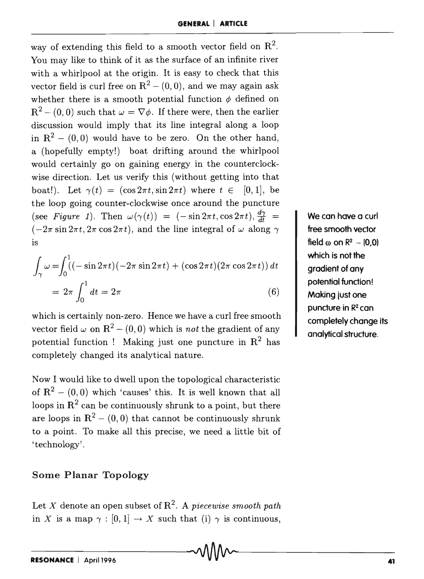way of extending this field to a smooth vector field on  $\mathbb{R}^2$ . You may like to think of it as the surface of an infinite river with a whirlpool at the origin. It is easy to check that this vector field is curl free on  $R^2 - (0,0)$ , and we may again ask whether there is a smooth potential function  $\phi$  defined on  $R^{2} - (0,0)$  such that  $\omega = \nabla \phi$ . If there were, then the earlier discussion would imply that its line integral along a loop in  $R^2 - (0,0)$  would have to be zero. On the other hand, a (hopefully empty!) boat drifting around the whirlpool would certainly go on gaining energy in the counterclockwise direction. Let us verify this (without getting into that boat!). Let  $\gamma(t) = (\cos 2\pi t, \sin 2\pi t)$  where  $t \in [0, 1]$ , be the loop going counter-clockwise once around the puncture (see *Figure 1*). Then  $\omega(\gamma(t)) = (-\sin 2\pi t, \cos 2\pi t), \frac{d\gamma}{dt} =$  $(-2\pi \sin 2\pi t, 2\pi \cos 2\pi t)$ , and the line integral of  $\omega$  along  $\gamma$ IS

$$
\int_{\gamma} \omega = \int_0^1 ((-\sin 2\pi t)(-2\pi \sin 2\pi t) + (\cos 2\pi t)(2\pi \cos 2\pi t)) dt
$$
  
=  $2\pi \int_0^1 dt = 2\pi$  (6)

which is certainly non-zero. Hence we have a curl free smooth vector field  $\omega$  on  $\mathbb{R}^2$  – (0,0) which is *not* the gradient of any potential function ! Making just one puncture in  $\mathbb{R}^2$  has completely changed its analytical nature.

Now I would like to dwell upon the topological characteristic of  $R^2 - (0,0)$  which 'causes' this. It is well known that all loops in  $\mathbb{R}^2$  can be continuously shrunk to a point, but there are loops in  $\mathbb{R}^2$  – (0,0) that cannot be continuously shrunk to a point. To make all this precise, we need a little bit of 'technology'.

#### Some Planar Topology

Let *X* denote an open subset of  $\mathbb{R}^2$ . A *piecewise smooth path* in X is a map  $\gamma : [0, 1] \to X$  such that (i)  $\gamma$  is continuous,

We can have a curl free smooth vector field  $\omega$  on  $R^2 - 10,0$ which is not the gradient of any potential function! Making just one puncture in R2 can completely change its analytical structure.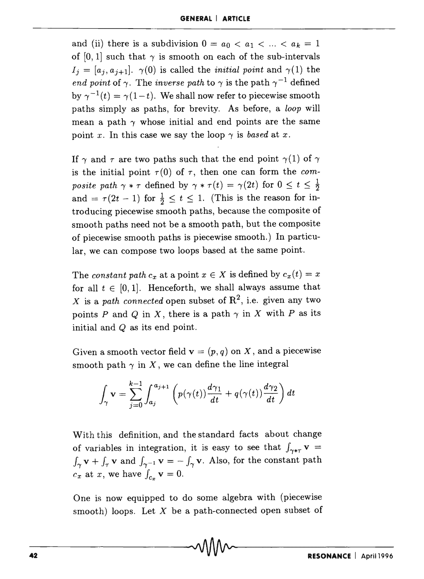and (ii) there is a subdivision  $0 = a_0 < a_1 < \ldots < a_k = 1$ of [0, 1] such that  $\gamma$  is smooth on each of the sub-intervals  $I_j = [a_j, a_{j+1}], \gamma(0)$  is called the *initial point* and  $\gamma(1)$  the *end point* of  $\gamma$ . The *inverse path* to  $\gamma$  is the path  $\gamma^{-1}$  defined by  $\gamma^{-1}(t) = \gamma(1-t)$ . We shall now refer to piecewise smooth paths simply as paths, for brevity. As before, a *loop* will mean a path  $\gamma$  whose initial and end points are the same point x. In this case we say the loop  $\gamma$  is *based* at x.

If  $\gamma$  and  $\tau$  are two paths such that the end point  $\gamma(1)$  of  $\gamma$ is the initial point  $\tau(0)$  of  $\tau$ , then one can form the *composite path*  $\gamma * \tau$  defined by  $\gamma * \tau(t) = \gamma(2t)$  for  $0 \leq t \leq \frac{1}{2}$ and =  $\tau(2t - 1)$  for  $\frac{1}{2} \le t \le 1$ . (This is the reason for introducing piecewise smooth paths, because the composite of smooth paths need not be a smooth path, but the composite of piecewise smooth paths is piecewise smooth.) In particular, we can compose two loops based at the same point.

The *constant path*  $c_x$  at a point  $x \in X$  is defined by  $c_x(t) = x$ for all  $t \in [0,1]$ . Henceforth, we shall always assume that X is a *path connected* open subset of  $\mathbb{R}^2$ , i.e. given any two points P and Q in X, there is a path  $\gamma$  in X with P as its initial and Q as its end point.

Given a smooth vector field  $\mathbf{v} = (p, q)$  on X, and a piecewise

smooth path 
$$
\gamma
$$
 in X, we can define the line integral  
\n
$$
\int_{\gamma} \mathbf{v} = \sum_{j=0}^{k-1} \int_{a_j}^{a_{j+1}} \left( p(\gamma(t)) \frac{d\gamma_1}{dt} + q(\gamma(t)) \frac{d\gamma_2}{dt} \right) dt
$$

With this definition, and the standard facts about change of variables in integration, it is easy to see that  $\int_{\gamma*\tau}$  v =  $\int_{\gamma} \mathbf{v} + \int_{\tau} \mathbf{v}$  and  $\int_{\gamma^{-1}} \mathbf{v} = -\int_{\gamma} \mathbf{v}$ . Also, for the constant path  $c_x$  at *x*, we have  $\int_{c_x} \mathbf{v} = 0$ .

One is now equipped to do some algebra with (piecewise smooth) loops. Let  $X$  be a path-connected open subset of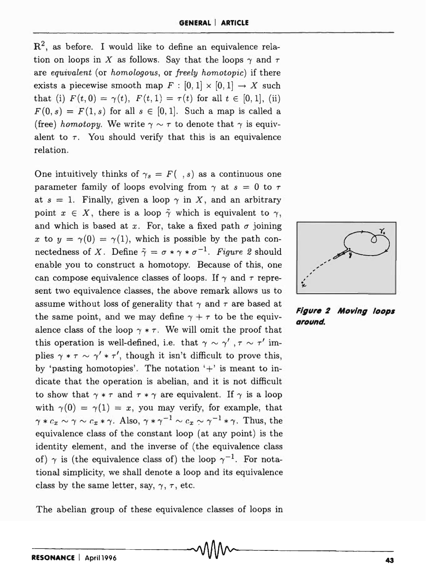$\mathbb{R}^2$ , as before. I would like to define an equivalence relation on loops in X as follows. Say that the loops  $\gamma$  and  $\tau$ are *equivalent* (or *homologous,* or *freely homotopic)* if there exists a piecewise smooth map  $F : [0, 1] \times [0, 1] \rightarrow X$  such that (i)  $F(t, 0) = \gamma(t)$ ,  $F(t, 1) = \tau(t)$  for all  $t \in [0, 1]$ , (ii)  $F(0, s) = F(1, s)$  for all  $s \in [0, 1]$ . Such a map is called a (free) *homotopy*. We write  $\gamma \sim \tau$  to denote that  $\gamma$  is equivalent to  $\tau$ . You should verify that this is an equivalence relation.

One intuitively thinks of  $\gamma_s = F(\cdot, s)$  as a continuous one parameter family of loops evolving from  $\gamma$  at  $s = 0$  to  $\tau$ at  $s = 1$ . Finally, given a loop  $\gamma$  in X, and an arbitrary point  $x \in X$ , there is a loop  $\tilde{\gamma}$  which is equivalent to  $\gamma$ , and which is based at x. For, take a fixed path  $\sigma$  joining *x* to  $y = \gamma(0) = \gamma(1)$ , which is possible by the path connectedness of *X*. Define  $\tilde{\gamma} = \sigma * \gamma * \sigma^{-1}$ . *Figure 2* should enable you to construct a homotopy. Because of this, one can compose equivalence classes of loops. If  $\gamma$  and  $\tau$  represent two equivalence classes, the above remark allows us to assume without loss of generality that  $\gamma$  and  $\tau$  are based at the same point, and we may define  $\gamma + \tau$  to be the equivalence class of the loop  $\gamma * \tau$ . We will omit the proof that this operation is well-defined, i.e. that  $\gamma \sim \gamma'$ ,  $\tau \sim \tau'$  implies  $\gamma * \tau \sim \gamma' * \tau'$ , though it isn't difficult to prove this, by 'pasting homotopies'. The notation '+' is meant to indicate that the operation is abelian, and it is not difficult to show that  $\gamma * \tau$  and  $\tau * \gamma$  are equivalent. If  $\gamma$  is a loop with  $\gamma(0) = \gamma(1) = x$ , you may verify, for example, that  $\gamma * c_x \sim \gamma \sim c_x * \gamma$ . Also,  $\gamma * \gamma^{-1} \sim c_x \sim \gamma^{-1} * \gamma$ . Thus, the equivalence class of the constant loop (at any point) is the identity element, and the inverse of (the equivalence class of)  $\gamma$  is (the equivalence class of) the loop  $\gamma^{-1}$ . For notational simplicity, we shall denote a loop and its equivalence class by the same letter, say,  $\gamma$ ,  $\tau$ , etc.





**Figure 2 Moving loops around.**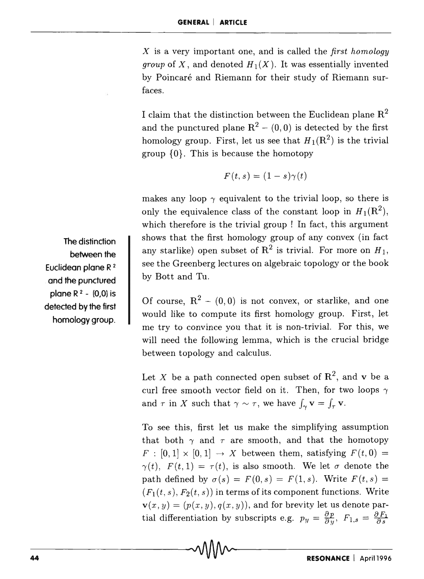X is a very important one, and is called the *first homology group* of X, and denoted  $H_1(X)$ . It was essentially invented by Poincaré and Riemann for their study of Riemann surfaces.

I claim that the distinction between the Euclidean plane  ${\bf R}^2$ and the punctured plane  $R^2 - (0,0)$  is detected by the first homology group. First, let us see that  $H_1(\mathbb{R}^2)$  is the trivial group  $\{0\}$ . This is because the homotopy

$$
F(t,s)=(1-s)\gamma(t)
$$

makes any loop  $\gamma$  equivalent to the trivial loop, so there is only the equivalence class of the constant loop in  $H_1(\mathbb{R}^2)$ , which therefore is the trivial group ! In fact, this argument shows that the first homology group of any convex (in fact any starlike) open subset of  $\mathbb{R}^2$  is trivial. For more on  $H_1$ , see the Greenberg lectures on algebraic topology or the book by Bott and Tu.

Of course,  $R^2 - (0,0)$  is not convex, or starlike, and one would like to compute its first homology group. First, let me try to convince you that it is non-trivial. For this, we will need the following lemma, which is the crucial bridge between topology and calculus.

Let X be a path connected open subset of  $\mathbb{R}^2$ , and v be a curl free smooth vector field on it. Then, for two loops  $\gamma$ and  $\tau$  in X such that  $\gamma \sim \tau$ , we have  $\int_{\gamma} \mathbf{v} = \int_{\tau} \mathbf{v}$ .

To see this, first let us make the simplifying assumption that both  $\gamma$  and  $\tau$  are smooth, and that the homotopy  $F : [0,1] \times [0,1] \rightarrow X$  between them, satisfying  $F(t,0) =$  $\gamma(t)$ ,  $F(t,1) = \tau(t)$ , is also smooth. We let  $\sigma$  denote the path defined by  $\sigma(s) = F(0, s) = F(1, s)$ . Write  $F(t, s) =$  $(F_1(t, s), F_2(t, s))$  in terms of its component functions. Write  $\mathbf{v}(x, y) = (p(x, y), q(x, y))$ , and for brevity let us denote partial differentiation by subscripts e.g.  $p_y = \frac{\partial p}{\partial y}$ ,  $F_{1,s} = \frac{\partial F_1}{\partial s}$ 

The distinction between the Euclidean plane R <sup>2</sup> and the punctured plane  $R^2 - (0,0)$  is detected by the first homology group.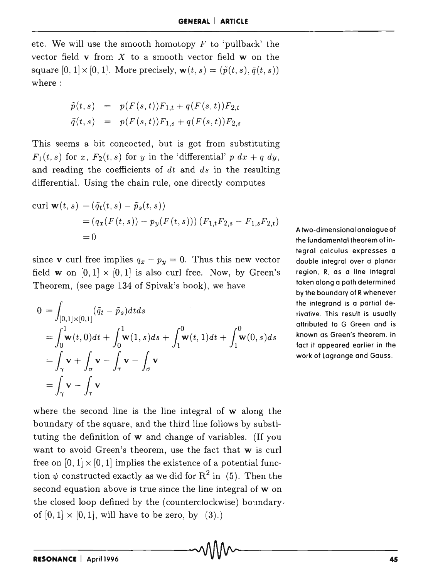etc. We will use the smooth homotopy  $F$  to 'pullback' the vector field v from *X* to a smooth vector field w on the square  $[0, 1] \times [0, 1]$ . More precisely,  $\mathbf{w}(t, s) = (\tilde{p}(t, s), \tilde{q}(t, s))$ where:

$$
\tilde{p}(t,s) = p(F(s,t))F_{1,t} + q(F(s,t))F_{2,t} \n\tilde{q}(t,s) = p(F(s,t))F_{1,s} + q(F(s,t))F_{2,s}
$$

This seems a bit concocted, but is got from substituting  $F_1(t, s)$  for *x*,  $F_2(t, s)$  for *y* in the 'differential' *p dx* + *q dy*, and reading the coefficients of *dt* and *ds* in the resulting differential. Using the chain rule, one directly computes

curl 
$$
\mathbf{w}(t, s) = (\tilde{q}_t(t, s) - \tilde{p}_s(t, s))
$$
  
=  $(q_x(F(t, s)) - p_y(F(t, s))) (F_{1,t}F_{2,s} - F_{1,s}F_{2,t})$   
= 0

since **v** curl free implies  $q_x - p_y = 0$ . Thus this new vector field **w** on  $[0,1] \times [0,1]$  is also curl free. Now, by Green's Theorem, (see page 134 of Spivak's book), *we* have

$$
0 = \int_{[0,1] \times [0,1]} (\tilde{q}_t - \tilde{p}_s) dt ds
$$
  
= 
$$
\int_0^1 \mathbf{w}(t,0) dt + \int_0^1 \mathbf{w}(1,s) ds + \int_1^0 \mathbf{w}(t,1) dt + \int_1^0 \mathbf{w}(0,s) ds
$$
  
= 
$$
\int_{\gamma} \mathbf{v} + \int_{\sigma} \mathbf{v} - \int_{\tau} \mathbf{v} - \int_{\sigma} \mathbf{v}
$$
  
= 
$$
\int_{\gamma} \mathbf{v} - \int_{\tau} \mathbf{v}
$$

A two-dimensional analogue of the fundamental theorem of integral calculus expresses a double integral over a planar region, R, as a line integral taken along a path determined by the boundary of R whenever the integrand is a partial derivative. This result is usually attributed to G Green and is known as Green's theorem. In fact it appeared earlier in the work of Lagrange and Gauss .

where the second line is the line integral of w along the boundary of the square, and the third line follows by substituting the definition of **w** and change of variables. (If you want to avoid Green's theorem, use the fact that w is curl free on  $[0,1] \times [0,1]$  implies the existence of a potential function  $\psi$  constructed exactly as we did for  $\mathbb{R}^2$  in (5). Then the second equation above is true since the line integral of w on the closed loop defined by the (counterclockwise) boundary, of  $[0,1] \times [0,1]$ , will have to be zero, by  $(3)$ .)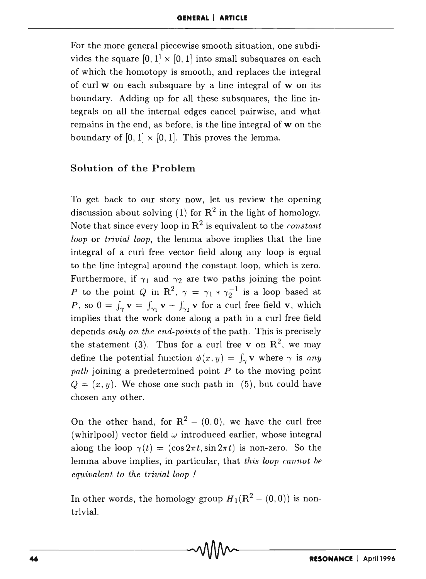For the more general piecewise smooth situation, one subdivides the square  $[0, 1] \times [0, 1]$  into small subsquares on each of which the homotopy is smooth, and replaces the integral of curl  $w$  on each subsquare by a line integral of  $w$  on its boundary. Adding up for all these subsquares, the line integrals on all the internal edges cancel pairwise, and what remains in the end, as before, is the line integral of w on the boundary of  $[0,1] \times [0,1]$ . This proves the lemma.

## Solution of the Problem

To get back to our story now, let us review the opening discussion about solving (1) for  $\mathbb{R}^2$  in the light of homology. Note that since every loop in  $\mathbb{R}^2$  is equivalent to the *constant loop* or *trivial loop*, the lemma above implies that the line integral of a curl free vector field along any loop is equal to the line integral around the constant loop, which is zero. Furthermore, if  $\gamma_1$  and  $\gamma_2$  are two paths joining the point P to the point Q in R<sup>2</sup>,  $\gamma = \gamma_1 * \gamma_2^{-1}$  is a loop based at P, so  $0 = \int_{\gamma} \mathbf{v} = \int_{\gamma_1} \mathbf{v} - \int_{\gamma_2} \mathbf{v}$  for a curl free field v, which implies that the work done along a path in a curl free field depends *only on the end-points* of the path. This is precisely the statement (3). Thus for a curl free v on  $\mathbb{R}^2$ , we may define the potential function  $\phi(x, y) = \int_{\gamma} \mathbf{v} \, \text{where } \gamma \, \text{is any}$ *path* joining a predetermined point *P* to the moving point  $Q = (x, y)$ . We chose one such path in (5), but could have chosen any other.

On the other hand, for  $R^2 - (0,0)$ , we have the curl free (whirlpool) vector field  $\omega$  introduced earlier, whose integral along the loop  $\gamma(t) = (\cos 2\pi t, \sin 2\pi t)$  is non-zero. So the lemma above implies, in particular, that *this loop cannot be equivalent to the trivial loop* !

In other words, the homology group  $H_1(R^2-(0,0))$  is nontrivial.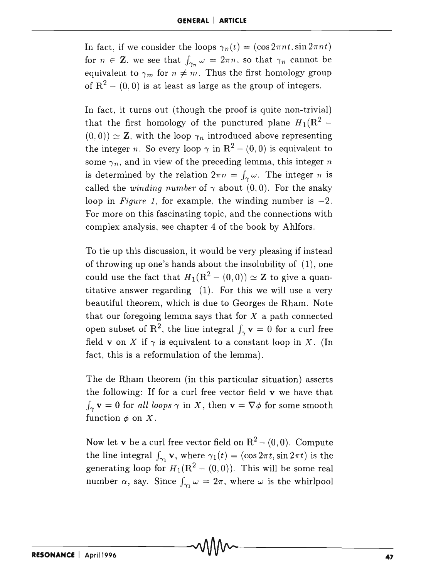In fact, if we consider the loops  $\gamma_n(t) = (\cos 2\pi nt, \sin 2\pi nt)$ for  $n \in \mathbb{Z}$ , we see that  $\int_{\gamma_n} \omega = 2\pi n$ , so that  $\gamma_n$  cannot be equivalent to  $\gamma_m$  for  $n \neq m$ . Thus the first homology group of  $R^2 - (0,0)$  is at least as large as the group of integers.

In fact, it turns out (though the proof is quite non-trivial) that the first homology of the punctured plane  $H_1 (R^2 - )$  $(0,0)$   $\simeq$  **Z**, with the loop  $\gamma_n$  introduced above representing the integer *n*. So every loop  $\gamma$  in  $\mathbb{R}^2 - (0,0)$  is equivalent to some  $\gamma_n$ , and in view of the preceding lemma, this integer *n* is determined by the relation  $2\pi n = \int_{\gamma} \omega$ . The integer *n* is called the *winding number* of  $\gamma$  about (0,0). For the snaky loop in *Figure 1*, for example, the winding number is  $-2$ . For more on this fascinating topic, and the connections with complex analysis, see chapter 4 of the book by Ahlfors.

To tie up this discussion, it would be very pleasing if instead of throwing up one's hands about the insolubility of (1), one could use the fact that  $H_1(\mathbb{R}^2 - (0,0)) \simeq \mathbb{Z}$  to give a quantitative answer regarding (1). For this we will use a very beautiful theorem, which is due to Georges de Rham. Note that our foregoing lemma says that for *X* a path connected open subset of R<sup>2</sup>, the line integral  $\int_{\gamma}$  **v** = 0 for a curl free field **v** on *X* if  $\gamma$  is equivalent to a constant loop in *X*. (In fact, this is a reformulation of the lemma).

The de Rham theorem (in this particular situation) asserts the following: If for a curl free vector field  $\bf{v}$  we have that  $\int_{\gamma}$ **v** = 0 for *all loops*  $\gamma$  in *X*, then **v** =  $\nabla \phi$  for some smooth function  $\phi$  on X.

Now let **v** be a curl free vector field on  $R^2 - (0,0)$ . Compute the line integral  $\int_{\gamma_1}$ **v**, where  $\gamma_1(t) = (\cos 2\pi t, \sin 2\pi t)$  is the generating loop for  $H_1(\mathbf{R}^2 - (0,0))$ . This will be some real number  $\alpha$ , say. Since  $\int_{\gamma_1} \omega = 2\pi$ , where  $\omega$  is the whirlpool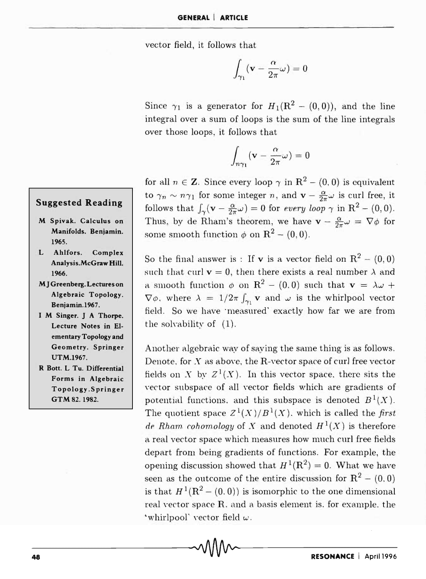vector field, it follows that

$$
\int_{\gamma_1} ({\bf v} - {\alpha\over 2\pi} \omega ) = 0
$$

Since  $\gamma_1$  is a generator for  $H_1(\mathbb{R}^2 - (0,0))$ , and the line integral over a sum of loops is the sum of the line integrals over those loops, it follows that

$$
\int_{n\gamma_1}({\bf v}-\frac{\alpha}{2\pi}\omega)=0
$$

for all  $n \in \mathbb{Z}$ . Since every loop  $\gamma$  in  $\mathbb{R}^2 - (0,0)$  is equivalent to  $\gamma_n \sim n\gamma_1$  for some integer n, and  $\mathbf{v} - \frac{\alpha}{2\pi}\omega$  is curl free, it follows that  $\int_{\gamma} (v - \frac{\alpha}{2\pi}\omega) = 0$  for every loop  $\gamma$  in  $R^2 - (0,0)$ . Thus, by de Rham's theorem, we have  $\mathbf{v} - \frac{\alpha}{2\pi}\omega = \nabla\phi$  for some smooth function  $\phi$  on  $\mathbb{R}^2 - (0,0)$ .

So the final answer is : If **v** is a vector field on  $R^2 - (0,0)$ such that curl  $v = 0$ , then there exists a real number  $\lambda$  and a smooth function  $\phi$  on R<sup>2</sup> - (0.0) such that  $\mathbf{v} = \lambda \omega + \lambda$  $\nabla \phi$ , where  $\lambda = 1/2\pi \int_{\gamma_1} \mathbf{v}$  and  $\omega$  is the whirlpool vector field. So we have 'measured' exactly how far we are from the solvability of (1).

Another algebraic way of saying the same thing is as follows. Denote. for X as above, the R-vector space of curl free vector fields on X by  $Z^1(X)$ . In this vector space, there sits the vector subspace of all vector fields which are gradients of potential functions. and this subspace is denoted  $B^1(X)$ . The quotient space  $Z^1(X)/B^1(X)$ , which is called the *first* de Rham cohomology of X and denoted  $H<sup>1</sup>(X)$  is therefore a real vector space which measures how much curl free fields depart from being gradients of functions. For example, the opening discussion showed that  $H^1(\mathbb{R}^2) = 0$ . What we have seen as the outcome of the entire discussion for  $R^2 - (0,0)$ is that  $H^1(\mathbb{R}^2 - (0,0))$  is isomorphic to the one dimensional real vector space  $R$ . and a basis element is, for example, the 'whirlpool' vector field  $\omega$ .

# **Suggested Reading**

- M Spivak. Calculus on Manifolds. Benjamin. 1965.
- L Ahlfors. Complex Analysis.McGraw Hill. 1966.
- **MJ** Greenberg. Lectures on Algebraic Topology. Benjamin.I967.
- I M Singer. J A Thorpe. Lecture Notes in Elementary Topology and Geometry. Springer UTM.1967.
- R Bott. L Tu. Differential Forms in Algebraic Topology.Springer GTM 82.1982.